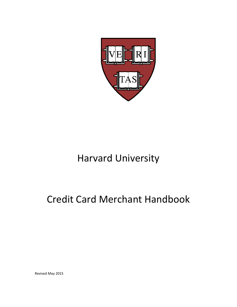

# Harvard University

# Credit Card Merchant Handbook

Revised May 2015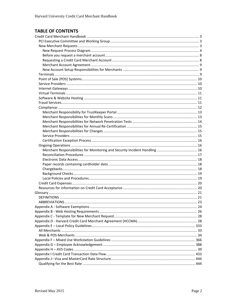## **TABLE OF CONTENTS**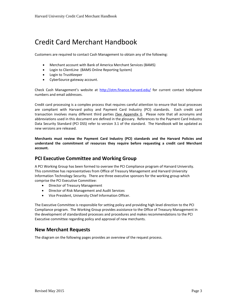# <span id="page-2-0"></span>Credit Card Merchant Handbook

Customers are required to contact Cash Management to obtain any of the following:

- Merchant account with Bank of America Merchant Services (BAMS)
- Login to ClientLine (BAMS Online Reporting System)
- Login to TrustKeeper
- CyberSource gateway account.

Check Cash Management's website at<http://otm.finance.harvard.edu/> for current contact telephone numbers and email addresses.

Credit card processing is a complex process that requires careful attention to ensure that local processes are compliant with Harvard policy and Payment Card Industry (PCI) standards. Each credit card transaction involves many different third parties (See Appendix I). Please note that all acronyms and abbreviations used in this document are defined in the glossary. References to the Payment Card Industry Data Security Standard (PCI DSS) refer to version 3.1 of the standard. The Handbook will be updated as new versions are released.

**Merchants must review the Payment Card Industry (PCI) standards and the Harvard Policies and understand the commitment of resources they require before requesting a credit card Merchant account.**

## <span id="page-2-1"></span>**PCI Executive Committee and Working Group**

A PCI Working Group has been formed to oversee the PCI Compliance program of Harvard University. This committee has representatives from Office of Treasury Management and Harvard University Information Technology Security. There are three executive sponsors for the working group which comprise the PCI Executive Committee:

- Director of Treasury Management
- Director of Risk Management and Audit Services
- Vice President, University Chief Information Officer.

The Executive Committee is responsible for setting policy and providing high level direction to the PCI Compliance program. The Working Group provides assistance to the Office of Treasury Management in the development of standardized processes and procedures and makes recommendations to the PCI Executive committee regarding policy and approval of new merchants.

## <span id="page-2-2"></span>**New Merchant Requests**

The diagram on the following pages provides an overview of the request process.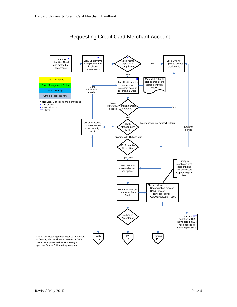<span id="page-3-0"></span>

## Requesting Credit Card Merchant Account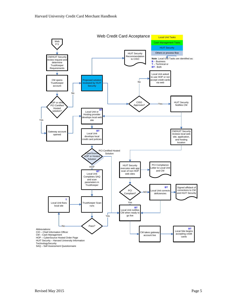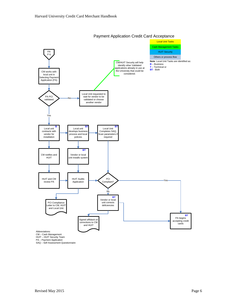

Payment Application Credit Card Acceptance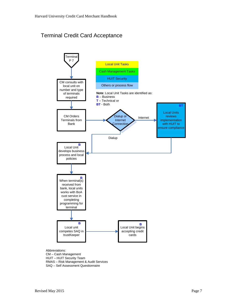## Terminal Credit Card Acceptance



Abbreviations: CM – Cash Management HUIT – HUIT Security Team RMAS – Risk Management & Audit Services SAQ – Self Assessment Questionnaire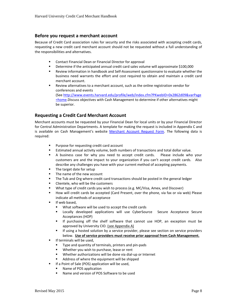#### <span id="page-7-0"></span>**Before you request a merchant account**

Because of Credit Card association rules for security and the risks associated with accepting credit cards, requesting a new credit card merchant account should not be requested without a full understanding of the responsibilities and alternatives.

- Contact Financial Dean or Financial Director for approval
- Determine if the anticipated annual credit card sales volume will approximate \$100,000
- Review information in handbook and Self-Assessment questionnaire to evaluate whether the business need warrants the effort and cost required to obtain and maintain a credit card merchant account.
- Review alternatives to a merchant account, such as the online registration vendor for conferences and events (See [http://www.events.harvard.edu/profile/web/index.cfm?PKwebID=0x2862d09&varPage](http://www.events.harvard.edu/profile/web/index.cfm?PKwebID=0x2862d09&varPage=home) =home. Discuss objectives with Cash Management to determine if other alternatives might be superior.

#### <span id="page-7-1"></span>**Requesting a Credit Card Merchant Account**

Merchant accounts must be requested by your Financial Dean for local units or by your Financial Director for Central Administration Departments. A template for making the request is included in Appendix C and is available on Cash Management's website [Merchant Account Request Form.](http://hwpi.harvard.edu/files/otm/files/credit_card_merchant_account_request_form.pdf) The following data is required:

- Purpose for requesting credit card account
- Estimated annual activity volume, both numbers of transactions and total dollar value.
- A business case for why you need to accept credit cards. Please include who your customers are and the impact to your organization if you can't accept credit cards. Also describe any challenges you have with your current method of accepting payments.
- The target date for setup
- **The name of the new account**
- **The Tub and Org where credit card transactions should be posted in the general ledger**
- **EXEC** Clientele, who will be the customers
- What type of credit cards you wish to process (e.g. MC/Visa, Amex, and Discover)
- How will credit cards be accepted (Card Present, over the phone, via fax or via web) Please indicate all methods of acceptance
- **If web based,** 
	- What software will be used to accept the credit cards
	- Locally developed applications will use CyberSource Secure Acceptance Secure Acceptances (HOP)
	- If purchasing off the shelf software that cannot use HOP, an exception must be approved by University CIO. (see Appendix A)
	- **If using a hosted solution by a service provider, please see section on service providers** below. **Use of service providers must receive prior approval from Cash Management.**
- **If terminals will be used,** 
	- Type and quantity of terminals, printers and pin-pads
	- **Whether you wish to purchase, lease or rent**
	- Whether authorizations will be done via dial-up or Internet
	- Address of where the equipment will be shipped
- **If a Point of Sale (POS) application will be used,** 
	- Name of POS application
	- Name and version of POS Software to be used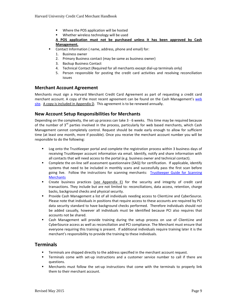- Where the POS application will be hosted
- Whether wireless technology will be used

#### **A POS application must not be purchased unless it has been approved by Cash Management.**

- Contact Information ( name, address, phone and email) for:
- 1. Business owner
- 2. Primary Business contact (may be same as business owner)
- 3. Backup Business Contact
- 4. Technical Contact (Required for all merchants except dial-up terminals only)
- 5. Person responsible for posting the credit card activities and resolving reconciliation issues

#### <span id="page-8-0"></span>**Merchant Account Agreement**

Merchants must sign a Harvard Merchant Credit Card Agreement as part of requesting a credit card merchant account. A copy of the most recent agreement can be found on the Cash Management's [web](http://hwpi.harvard.edu/files/otm/files/hccma_042515.pdf)  [site.](http://hwpi.harvard.edu/files/otm/files/hccma_042515.pdf) A copy is included in Appendix D. This agreement is to be renewed annually.

#### <span id="page-8-1"></span>**New Account Setup Responsibilities for Merchants**

Depending on the complexity, the set up process can take 3 - 6 weeks. This time may be required because of the number of  $3<sup>rd</sup>$  parties involved in the process, particularly for web based merchants, which Cash Management cannot completely control. Request should be made early enough to allow for sufficient time (at least one month, more if possible). Once you receive the merchant account number you will be responsible to do the following:

- **-** Log onto the TrustKeeper portal and complete the registration process within 3 business days of receiving TrustKeeper account information via email. Identify, notify and share information with all contacts that will need access to the portal (e.g. business owner and technical contact).
- Complete the on-line self assessment questionnaire (SAQ) for certification. If applicable, identify systems that need to be included in monthly scans and successfully pass the first scan before going live. Follow the instructions for scanning merchants: Trustkeeper Guide for Scanning **[Merchants](http://hwpi.harvard.edu/files/otm/files/trustkeeper_guide_for_scanning_set_up.pdf)**
- Create business practices (see Appendix E) for the security and integrity of credit card transactions. They include but are not limited to: reconciliations, data access, retention, charge backs, background checks and physical security.
- **Provide Cash Management a list of all individuals needing access to ClientLine and CyberSource.** Please note that individuals in positions that require access to these accounts are required by PCI data security standard to have background checks performed. Therefore individuals should not be added casually, however all individuals must be identified because PCI also requires that accounts not be shared.
- Cash Management will provide training during the setup process on use of ClientLine and CyberSource access as well as reconciliation and PCI compliance. The Merchant must ensure that everyone requiring this training is present. If additional individuals require training later it is the merchant's responsibility to provide the training to these individuals.

## <span id="page-8-2"></span>**Terminals**

- **Terminals are shipped directly to the address specified in the merchant account request.**
- Terminals come with set-up instructions and a customer service number to call if there are questions.
- Merchants must follow the set-up instructions that come with the terminals to properly link them to their merchant account.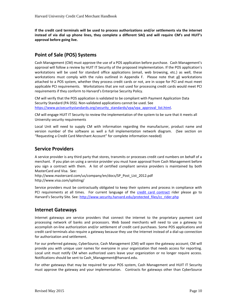**If the credit card terminals will be used to process authorizations and/or settlements via the internet instead of via dial up phone lines, they complete a different SAQ and will require CM's and HUIT's approval before going live.** 

## <span id="page-9-0"></span>**Point of Sale (POS) Systems**

Cash Management (CM) must approve the use of a POS application before purchase. Cash Management's approval will follow a review by HUIT IT Security of the proposed implementation. If the POS application's workstations will be used for standard office applications (email, web browsing, etc.) as well, these workstations must comply with the rules outlined in Appendix F. Please note that all workstations attached to a POS system, whether they process credit cards or not, are in scope for PCI and must meet applicable PCI requirements. Workstations that are not used for processing credit cards would meet PCI requirements if they conform to Harvard's Enterprise Security Policy.

CM will verify that the POS application is validated to be compliant with Payment Application Data Security Standard (PA DSS). Non-validated applications cannot be used. See [https://www.pcisecuritystandards.org/security\\_standards/vpa/vpa\\_approval\\_list.html.](https://www.pcisecuritystandards.org/security_standards/vpa/vpa_approval_list.html)

CM will engage HUIT IT Security to review the implementation of the system to be sure that it meets all University security requirements

Local Unit will need to supply CM with information regarding the manufacturer, product name and version number of the software as well a full implementation network diagram. (See section on "Requesting a Credit Card Merchant Account" for complete information needed)

## <span id="page-9-1"></span>**Service Providers**

A service provider is any third party that stores, transmits or processes credit card numbers on behalf of a merchant. If you plan on using a service provider you must have approval from Cash Management before you sign a contract with them. A list of certified compliant service providers is maintained by both MasterCard and Visa. See:

http://www.mastercard.com/us/company/en/docs/SP\_Post\_List\_2012.pdf http://www.visa.com/splisting/

Service providers must be contractually obligated to keep their systems and process in compliance with PCI requirements at all times. For current language of the [credit card contract](http://www.security.harvard.edu/protected_files/cc_rider.php) rider please go to Harvard's Security Site. See[: http://www.security.harvard.edu/protected\\_files/cc\\_rider.php](http://www.security.harvard.edu/protected_files/cc_rider.php)

## <span id="page-9-2"></span>**Internet Gateways**

Internet gateways are service providers that connect the internet to the proprietary payment card processing network of banks and processors. Web based merchants will need to use a gateway to accomplish on-line authorization and/or settlement of credit card purchases. Some POS applications and credit card terminals also require a gateway because they use the Internet instead of a dial-up connection for authorization and settlement.

For our preferred gateway, CyberSource, Cash Management (CM) will open the gateway account; CM will provide you with unique user names for everyone in your organization that needs access for reporting. Local unit must notify CM when authorized users leave your organization or no longer require access. Notifications should be sent t[o Cash\\_Management@harvard.edu.](mailto:Cash_Management@harvard.edu)

For other gateways that may be required for your POS system, Cash Management and HUIT IT Security must approve the gateway and your implementation. Contracts for gateways other than CyberSource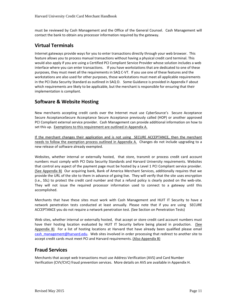must be reviewed by Cash Management and the Office of the General Counsel. Cash Management will contact the bank to obtain any processor information required by the gateway.

## <span id="page-10-0"></span>**Virtual Terminals**

Internet gateways provide ways for you to enter transactions directly through your web browser. This feature allows you to process manual transactions without having a physical credit card terminal. This would also apply if you are using a Certified PCI Compliant Service Provider whose solution includes a web interface where you can enter transactions. If you have workstations that are dedicated to one of these purposes, they must meet all the requirements in SAQ C-VT. If you use one of these features and the workstations are also used for other purposes, those workstations must meet all applicable requirements in the PCI Data Security Standard as outlined in SAQ D. Some Guidance is provided in Appendix F about which requirements are likely to be applicable, but the merchant is responsible for ensuring that their implementation is compliant.

## <span id="page-10-1"></span>**Software & Website Hosting**

New merchants accepting credit cards over the Internet must use CyberSource's Secure Acceptance Secure AcceptanceSecure Accesptance Secure Acceptance previously called (HOP) or another approved PCI Compliant external service provider. Cash Management can provide additional information on how to set this up. Exemptions to this requirement are outlined in Appendix A.

If the merchant changes their application and is not using SECURE ACCEPTANCE, then the merchant needs to follow the exemption process outlined in Appendix A. Changes do not include upgrading to a new release of software already exempted.

Websites, whether internal or externally hosted, that store, transmit or process credit card account numbers must comply with PCI Data Security Standards and Harvard University requirements. Websites that control any aspect of the payment page must be hosted by a Level 1 PCI Compliant service provider. (See Appendix B) Our acquiring bank, Bank of America Merchant Services, additionally requires that we provide the URL of the site to them in advance of going live. They will verify that the site uses encryption (i.e., SSL) to protect the credit card number and that a refund policy is clearly posted on the web-site. They will not issue the required processor information used to connect to a gateway until this accomplished.

Merchants that have these sites must work with Cash Management and HUIT IT Security to have a network penetration tests conducted at least annually. Please note that if you are using SECURE ACCEPTANCE you do not require a network penetration test. (See Section on Penetration Tests)

Web sites, whether internal or externally hosted, that accept or store credit card account numbers must have their hosting location evaluated by HUIT IT Security before being placed in production. (See Appendix B) For a list of hosting locations at Harvard that have already been qualified please email [cash\\_management@harvard.edu.](mailto:cash_management@harvard.edu) Web sites involved in order processing that redirect to another site to accept credit cards must meet PCI and Harvard requirements. (Also Appendix B)

## <span id="page-10-2"></span>**Fraud Services**

Merchants that accept web transactions must use Address Verification (AVS) and Card Number Verification (CVV/CVC) fraud prevention services. More details on AVS are available in Appendix H.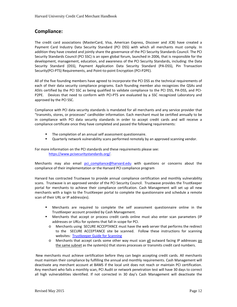## <span id="page-11-0"></span>**Compliance:**

The credit card associations (MasterCard, Visa, American Express, Discover and JCB) have created a Payment Card Industry Data Security Standard (PCI DSS) with which all merchants must comply. In addition they have created and jointly share the governance of the PCI Security Standards Council. The PCI Security Standards Council (PCI SSC) is an open global forum, launched in 2006, that is responsible for the development, management, education, and awareness of the PCI Security Standards, including: the Data Security Standard (DSS), Payment Application Data Security Standard (PA-DSS), Pin Transaction Security(PCI-PTS) Requirements, and Point-to-point Encryption (PCI-P2PE).

All of the five founding members have agreed to incorporate the PCI DSS as the technical requirements of each of their data security compliance programs. Each founding member also recognizes the QSAs and ASVs certified by the PCI SSC as being qualified to validate compliance to the PCI DSS, PA-DSS, and PCI-P2PE. Devices that need to conform with PCI-PTS are evaluated by a SSC recognized Laboratory and approved by the PCI SSC.

Compliance with PCI data security standards is mandated for all merchants and any service provider that "transmits, stores, or processes" cardholder information. Each merchant must be certified annually to be in compliance with PCI data security standards in order to accept credit cards and will receive a compliance certificate once they have completed and passed the following requirements:

- **The completion of an annual self assessment questionnaire.**
- Quarterly network vulnerability scans performed remotely by an approved scanning vendor.

For more information on the PCI standards and these requirements please see: [https://www.pcisecuritystandards.org/.](https://www.pcisecuritystandards.org/)

Merchants may also email pci compliance@harvard.edu with questions or concerns about the compliance of their implementation or the Harvard PCI compliance program

Harvard has contracted Trustwave to provide annual compliance certification and monthly vulnerability scans. Trustwave is an approved vendor of the PCI Security Council. Trustwave provides the TrustKeeper portal for merchants to achieve their compliance certification. Cash Management will set up all new merchants with a login to the TrustKeeper portal to complete the questionnaire and schedule a remote scan of their URL or IP address(es).

- Merchants are required to complete the self assessment questionnaire online in the TrustKeeper account provided by Cash Management.
- Merchants that accept or process credit cards online must also enter scan parameters (IP addresses or URLs for systems that fall in scope for PCI.
	- o Merchants using SECURE ACCEPTANCE must have the web server that performs the redirect to the SECURE ACCEPTANCE site be scanned. Follow these instructions for scanning websites: [Trustkeeper Guide for Scanning](http://hwpi.harvard.edu/files/otm/files/trustkeeper_guide_for_scanning_set_up.pdfhttp:/hwpi.harvard.edu/files/otm/files/trustkeeper_guide_for_scanning_set_up.pdf)
	- o Merchants that accept cards some other way must scan all outward facing IP addresses on the same subnet as the system(s) that stores processes or transmits credit card numbers.

New merchants must achieve certification before they can begin accepting credit cards. All merchants must maintain their compliance by fulfilling the annual and monthly requirements. Cash Management will deactivate any merchant account at BAMS if the local unit does not reach or maintain PCI certification. Any merchant who fails a monthly scan, PCI Audit or network penetration test will have 30 days to correct all high vulnerabilities identified. If not corrected in 30 day's Cash Management will deactivate the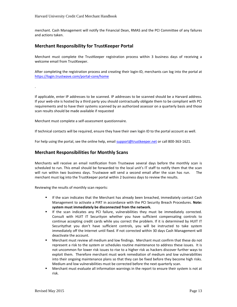merchant. Cash Management will notify the Financial Dean, RMAS and the PCI Committee of any failures and actions taken.

#### <span id="page-12-0"></span>**Merchant Responsibility for TrustKeeper Portal**

Merchant must complete the TrustKeeper registration process within 3 business days of receiving a welcome email from TrustKeeper.

After completing the registration process and creating their login-ID, merchants can log into the portal at <https://login.trustwave.com/portal-core/home>

If applicable, enter IP addresses to be scanned. IP addresses to be scanned should be a Harvard address. If your web-site is hosted by a third party you should contractually obligate them to be compliant with PCI requirements and to have their systems scanned by an authorized assessor on a quarterly basis and those scan results should be made available if requested

Merchant must complete a self-assessment questionnaire.

.

If technical contacts will be required, ensure they have their own login ID to the portal account as well.

For help using the portal, see the online help, email [support@trustkeeper.net](mailto:support@trustkeeper.net) or call 800-363-1621.

#### <span id="page-12-1"></span>**Merchant Responsibilities for Monthly Scans**

Merchants will receive an email notification from Trustwave several days before the monthly scan is scheduled to run. This email should be forwarded to the local unit's IT staff to notify them that the scan will run within two business days. Trustwave will send a second email after the scan has run. The merchant must log into the TrustKeeper portal within 2 business days to review the results.

Reviewing the results of monthly scan reports:

- If the scan indicates that the Merchant has already been breached, immediately contact Cash Management to activate a PIRT in accordance with the PCI Security Breach Procedures. **Note: system must immediately be disconnected from the network.**
- **If the scan indicates any PCI failure, vulnerabilities they must be immediately corrected.** Consult with HUIT IT Securityon whether you have sufficient compensating controls to continue accepting credit cards while you correct the problem. If it is determined by HUIT IT Securitythat you don't have sufficient controls, you will be instructed to take system immediately off the Internet until fixed. If not corrected within 30 days Cash Management will deactivate the account.
- Merchant must review all medium and low findings. Merchant must confirm that these do not represent a risk to the system or schedules routine maintenance to address these issues. It is not uncommon for lower risk issues to rise to a higher risk as hackers discover further ways to exploit them. Therefore merchant must work remediation of medium and low vulnerabilities into their ongoing maintenance plans so that they can be fixed before they become high risks. Medium and low vulnerabilities must be corrected before the next quarterly scan.
- Merchant must evaluate all information warnings in the report to ensure their system is not at risk.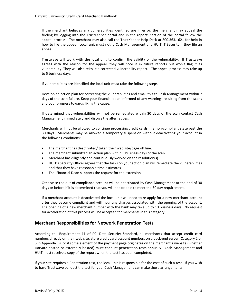If the merchant believes any vulnerabilities identified are in error, the merchant may appeal the finding by logging into the TrustKeeper portal and in the reports section of the portal follow the appeal process. The merchant may also call the TrustKeeper Help Desk at 800.363.1621 for help in how to file the appeal. Local unit must notify Cash Management and HUIT IT Security if they file an appeal.

Trustwave will work with the local unit to confirm the validity of the vulnerability. If Trustwave agrees with the reason for the appeal, they will note it in future reports but won't flag it as vulnerability. They will also reissue a corrected vulnerability report. The appeal process may take up to 5 business days.

If vulnerabilities are identified the local unit must take the following steps:

Develop an action plan for correcting the vulnerabilities and email this to Cash Management within 7 days of the scan failure. Keep your financial dean informed of any warnings resulting from the scans and your progress towards fixing the cause.

If determined that vulnerabilities will not be remediated within 30 days of the scan contact Cash Management immediately and discuss the alternatives.

Merchants will not be allowed to continue processing credit cards in a non-compliant state past the 30 days. Merchants may be allowed a temporary suspension without deactivating your account in the following conditions:

- The merchant has deactivated/ taken their web site/page off line.
- The merchant submitted an action plan within 5 business days of the scan
- Merchant has diligently and continuously worked on the resolution(s)
- HUIT's Security Officer agrees that the tasks on your action plan will remediate the vulnerabilities and that they have reasonable time estimates
- The Financial Dean supports the request for the extension

Otherwise the out of compliance account will be deactivated by Cash Management at the end of 30 days or before if it is determined that you will not be able to meet the 30 day requirement.

If a merchant account is deactivated the local unit will need to re apply for a new merchant account after they become compliant and will incur any charges associated with the opening of the account. The opening of a new merchant number with the bank may take up to 10 business days. No request for acceleration of this process will be accepted for merchants in this category.

#### <span id="page-13-0"></span>**Merchant Responsibilities for Network Penetration Tests**

According to Requirement 11 of PCI Data Security Standard, all merchants that accept credit card numbers directly on their web site, store credit card account numbers on a back-end server (Category 2 or 3 in Appendix B), or if some element of the payment page originates on the merchant's website (whether Harvard-hosted or externally hosted) must conduct penetration tests annually. Cash Management and HUIT must receive a copy of the report when the test has been completed.

If your site requires a Penetration test, the local unit is responsible for the cost of such a test. If you wish to have Trustwave conduct the test for you, Cash Management can make those arrangements.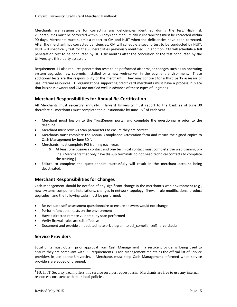Merchants are responsible for correcting any deficiencies identified during the test. High risk vulnerabilities must be corrected within 30 days and medium risk vulnerabilities must be corrected within 90 days. Merchants must submit a report to CM and HUIT when the deficiencies have been corrected. After the merchant has corrected deficiencies, CM will schedule a second test to be conducted by HUIT. HUIT will specifically test for the vulnerabilities previously identified. In addition, CM will schedule a full penetration test to be conducted by HUIT six months after the conclusion of the test conducted by the University's third party assessor.

Requirement 11 also requires penetration tests to be performed after major changes such as an operating system upgrade, new sub-nets installed or a new web-server in the payment environment. These additional tests are the responsibility of the merchant. They may contract for a third party assessor or use internal resources<sup>[1](#page-14-3)</sup>. IT organizations supporting credit card merchants must have a process in place that business owners and CM are notified well in advance of these types of upgrades.

#### <span id="page-14-0"></span>**Merchant Responsibilities for Annual Re-Certification**

All Merchants must re-certify annually. Harvard University must report to the bank as of June 30 therefore all merchants must complete the questionnaire by June  $15<sup>th</sup>$  of each year.

- Merchant **must** log on to the TrustKeeper portal and complete the questionnaire **prior** to the deadline.
- Merchant must reviews scan parameters to ensure they are correct.
- Merchants must complete the Annual Compliance Attestation form and return the signed copies to Cash Management by June  $30<sup>th</sup>$ .
- Merchants must complete PCI training each year.
	- o At least one business contact and one technical contact must complete the web training online. (Merchants that only have dial-up terminals do not need technical contacts to complete the training.)
- Failure to complete the questionnaire successfully will result in the merchant account being deactivated.

#### <span id="page-14-1"></span>**Merchant Responsibilities for Changes**

Cash Management should be notified of any significant change in the merchant's web environment (e.g., new systems component installations, changes in network topology, firewall rule modifications, product upgrades) and the following tasks must be performed:

- Re-evaluate self-assessment questionnaire to ensure answers would not change
- Perform functional tests on the environment
- Have a directed remote vulnerability scan performed
- Verify firewall rules are still effective
- Document and provide an updated network diagram to pci\_compliance@harvard.edu

#### <span id="page-14-2"></span>**Service Providers**

Local units must obtain prior approval from Cash Management if a service provider is being used to ensure they are compliant with PCI requirements. Cash Management maintains the official list of Service providers in use at the University. Merchants must keep Cash Management informed when service providers are added or dropped.

<span id="page-14-3"></span><sup>&</sup>lt;sup>1</sup> HUIT IT Security Team offers this service on a per request basis. Merchants are free to use any internal resources consistent with their local policies.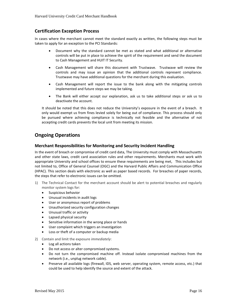#### <span id="page-15-0"></span>**Certification Exception Process**

In cases where the merchant cannot meet the standard exactly as written, the following steps must be taken to apply for an exception to the PCI Standards:

- Document why the standard cannot be met as stated and what additional or alternative controls will be put in place to achieve the spirit of the requirement and send the document to Cash Management and HUIT IT Security.
- Cash Management will share this document with Trustwave. Trustwave will review the controls and may issue an opinion that the additional controls represent compliance. Trustwave may have additional questions for the merchant during this evaluation.
- Cash Management will report the issue to the bank along with the mitigating controls implemented and future steps we may be taking.
- The Bank will either accept our explanation, ask us to take additional steps or ask us to deactivate the account.

It should be noted that this does not reduce the University's exposure in the event of a breach. It only would exempt us from fines levied solely for being out of compliance. This process should only be pursued where achieving compliance is technically not feasible and the alternative of not accepting credit cards prevents the local unit from meeting its mission.

## <span id="page-15-1"></span>**Ongoing Operations**

#### <span id="page-15-2"></span>**Merchant Responsibilities for Monitoring and Security Incident Handling**

In the event of breach or compromise of credit card data, The University must comply with Massachusetts and other state laws, credit card association rules and other requirements. Merchants must work with appropriate University and school offices to ensure these requirements are being met, This includes but not limited to, Office of General Counsel (OGC) and the Harvard Public Affairs and Communication Office (HPAC). This section deals with electronic as well as paper based records. For breaches of paper records, the steps that refer to electronic issues can be omitted.

- 1) The Technical Contact for the merchant account should be alert to potential breaches and regularly monitor system logs for:
	- Suspicious behavior
	- Unusual incidents in audit logs
	- User or anonymous report of problems
	- Unauthorized security configuration changes
	- Unusual traffic or activity
	- Lapsed physical security
	- Sensitive information in the wrong place or hands
	- User complaint which triggers an investigation
	- Loss or theft of a computer or backup media
- 2) Contain and limit the exposure *immediately*:
	- Log all actions taken
	- Do not access or alter compromised systems.
	- Do not turn the compromised machine off. Instead isolate compromised machines from the network (i.e., unplug network cable).
	- Preserve all available logs (firewall, IDS, web server, operating system, remote access, etc.) that could be used to help identify the source and extent of the attack.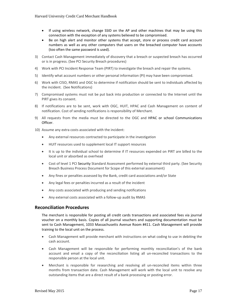- If using wireless network, change SSID on the AP and other machines that may be using this connection with the exception of any systems believed to be compromised.
- Be on high alert and monitor other systems that accept, store or process credit card account numbers as well as any other computers that users on the breached computer have accounts (too often the same password is used).
- 3) Contact Cash Management immediately of discovery that a breach or suspected breach has occurred or is in progress. (See PCI Security Breach procedures)
- 4) Work with PCI Incident Response Team (PIRT) to investigate the breach and repair the systems.
- 5) Identify what account numbers or other personal information (PI) may have been compromised.
- 6) Work with CISO, RMAS and OGC to determine if notification should be sent to individuals affected by the incident. (See Notifications)
- 7) Compromised systems must not be put back into production or connected to the Internet until the PIRT gives its consent.
- 8) If notifications are to be sent, work with OGC, HUIT, HPAC and Cash Management on content of notification. Cost of sending notifications is responsibility of Merchant.
- 9) All requests from the media must be directed to the OGC and HPAC or school Communications Officer.
- 10) Assume any extra costs associated with the incident:
	- Any external resources contracted to participate in the investigation
	- HUIT resources used to supplement local IT support resources
	- It is up to the individual school to determine if IT resources expended on PIRT are billed to the local unit or absorbed as overhead
	- Cost of level 1 PCI Security Standard Assessment performed by external third party. (See Security Breach Business Process Document for Scope of this external assessment)
	- Any fines or penalties assessed by the Bank, credit card associations and/or State
	- Any legal fees or penalties incurred as a result of the incident
	- Any costs associated with producing and sending notifications
	- Any external costs associated with a follow-up audit by RMAS

#### <span id="page-16-0"></span>**Reconciliation Procedures**

The merchant is responsible for posting all credit cards transactions and associated fees via journal voucher on a monthly basis. Copies of all journal vouchers and supporting documentation must be sent to Cash Management, 1033 Massachusetts Avenue Room #411. Cash Management will provide training to the local unit on the process.

- Cash Management will provide merchant with instructions on what coding to use in debiting the cash account.
- Cash Management will be responsible for performing monthly reconciliation's of the bank account and email a copy of the reconciliation listing all un-reconciled transactions to the responsible person at the local unit.
- Merchant is responsible for researching and resolving all un-reconciled items within three months from transaction date. Cash Management will work with the local unit to resolve any outstanding items that are a direct result of a bank processing or posting error.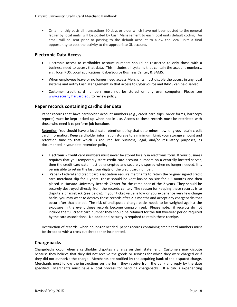• On a monthly basis all transactions 90 days or older which have not been posted to the general ledger by local units, will be posted by Cash Management to each local units default coding. An email will be sent prior to posting to the default account to allow the local units a final opportunity to post the activity to the appropriate GL account.

#### <span id="page-17-0"></span>**Electronic Data Access**

- Electronic access to cardholder account numbers should be restricted to only those with a business need to access that data. This includes all systems that contain the account numbers, e.g., local POS, Local applications, CyberSource Business Center, & BAMS.
- When employees leave or no longer need access Merchants must disable the access in any local systems and notify Cash Management so that access to CyberSource and BAMS can be disabled.
- Customer credit card numbers must not be stored on any user computer. Please see [www.security.harvard.edu](http://www.security.harvard.edu/) to review policy.

#### <span id="page-17-1"></span>**Paper records containing cardholder data**

Paper records that have cardholder account numbers (e.g., credit card slips, order forms, hardcopy reports) must be kept locked up when not in use. Access to these records must be restricted with those who need it to perform job functions.

Retention: You should have a local data retention policy that determines how long you retain credit card information. Keep cardholder information storage to a minimum. Limit your storage amount and retention time to that which is required for business, legal, and/or regulatory purposes, as documented in your data retention policy.

- **Electronic** Credit card numbers must never be stored locally in electronic form. If your business requires that you temporarily store credit card account numbers on a centrally located server, then the credit card data must be encrypted and securely disposed when no longer needed. It is permissible to retain the last four digits of the credit card number.
- **Paper** Federal and credit card association require merchants to retain the original signed credit card merchant slip for 2 years. These should be kept locked on site for 2-3 months and then placed in Harvard University Records Center for the remainder of the 2 years. They should be securely destroyed directly from the records center. The reason for keeping these records is to dispute a chargeback (see below), if your ticket value is low or you experience very few charge backs, you may want to destroy these records after 2-3 months and accept any chargebacks that occur after that period. The risk of undisputed charge backs needs to be weighed against the exposure in the event these records become compromised. Please note: if receipts do not include the full credit card number they should be retained for the full two-year period required by the card associations. No additional security is required to retain these receipts.

Destruction of records: when no longer needed, paper records containing credit card numbers must be shredded with a cross cut shredder or incinerated.

#### <span id="page-17-2"></span>**Chargebacks**

Chargebacks occur when a cardholder disputes a charge on their statement. Customers may dispute because they believe that they did not receive the goods or services for which they were charged or if they did not authorize the charge. Merchants are notified by the acquiring bank of the disputed charge. Merchants must follow the instructions on the form they receive from the bank and reply by the date specified. Merchants must have a local process for handling chargebacks. If a tub is experiencing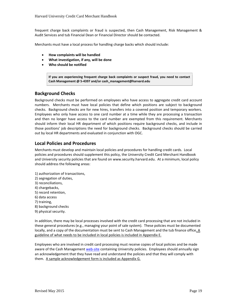frequent charge back complaints or fraud is suspected, then Cash Management, Risk Management & Audit Services and tub Financial Dean or Financial Director should be contacted.

Merchants must have a local process for handling charge backs which should include:

- **How complaints will be handled**
- **What investigation, if any, will be done**
- **Who should be notified**

**If you are experiencing frequent charge back complaints or suspect fraud, you need to contact Cash Management @ 5-4397 and/or cash\_management@harvard.edu**

#### <span id="page-18-0"></span>**Background Checks**

Background checks must be performed on employees who have access to aggregate credit card account numbers. Merchants must have local policies that define which positions are subject to background checks. Background checks are for new hires, transfers into a covered position and temporary workers. Employees who only have access to one card number at a time while they are processing a transaction and then no longer have access to the card number are exempted from this requirement. Merchants should inform their local HR department of which positions require background checks, and include in those positions' job descriptions the need for background checks. Background checks should be carried out by local HR departments and evaluated in conjunction with OGC.

#### <span id="page-18-1"></span>**Local Policies and Procedures**

Merchants must develop and maintain local policies and procedures for handling credit cards. Local policies and procedures should supplement this policy, the University Credit Card Merchant Handbook and University security policies that are found o[n www.security.harvard.edu.](http://www.security.harvard.edu/) At a minimum, local policy should address the following areas:

- 1) authorization of transactions,
- 2) segregation of duties,
- 3) reconciliations,
- 4) chargebacks,
- 5) record retention,
- 6) data access
- 7) training,
- 8) background checks
- 9) physical security.

In addition, there may be local processes involved with the credit card processing that are not included in these general procedures (e.g., managing your point of sale system). These policies must be documented locally, and a copy of the documentation must be sent to Cash Management and the tub finance office. A guideline of what needs to be included in local policies is included in Appendix E.

Employees who are involved in credit card processing must receive copies of local policies and be made aware of the Cash Managemen[t web-site](http://vpf-web.harvard.edu/otm/cm/index.shtml) containing University policies. Employees should annually sign an acknowledgement that they have read and understand the policies and that they will comply with them. A sample acknowledgement form is included as Appendix G.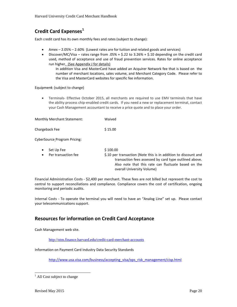## <span id="page-19-0"></span>**Credit Card Expenses[1](#page-19-2)**

Each credit card has its own monthly fees and rates (subject to change):

- Amex 2.05% 2.60% (Lowest rates are for tuition and related goods and services)
- Discover/MC/Visa rates range from .05% + \$.22 to 3.26% + \$.10 depending on the credit card used, method of acceptance and use of fraud prevention services. Rates for online acceptance run higher. (See Appendix J for details)

In addition Visa and MasterCard have added an Acquirer Network fee that is based on the number of merchant locations, sales volume, and Merchant Category Code. Please refer to the Visa and MasterCard websites for specific fee information.

Equipmen**t**: (subject to change)

• Terminals- Effective October 2015, all merchants are required to use EMV terminals that have the ability process chip-enabled credit cards. If you need a new or replacement terminal, contact your Cash Management accountant to receive a price quote and to place your order.

| <b>Monthly Merchant Statement:</b> | Waived  |
|------------------------------------|---------|
| Chargeback Fee                     | \$15.00 |

CyberSource Program Pricing:

|           | $\bullet$ Set Up Fee | \$100.00                                                                                                                                    |
|-----------|----------------------|---------------------------------------------------------------------------------------------------------------------------------------------|
| $\bullet$ | Per transaction fee  | \$.10 per transaction (Note this is in addition to discount and                                                                             |
|           |                      | transaction fees assessed by card type outlined above.<br>Also note that this rate can fluctuate based on the<br>overall University Volume) |

Financial Administration Costs - \$2,400 per merchant. These fees are not billed but represent the cost to central to support reconciliations and compliance. Compliance covers the cost of certification, ongoing monitoring and periodic audits.

Internal Costs - To operate the terminal you will need to have an "Analog Line" set up. Please contact your telecommunications support.

## <span id="page-19-1"></span>**Resources for information on Credit Card Acceptance**

Cash Management web site.

<http://otm.finance.harvard.edu/credit-card-merchant-accounts>

Information on Payment Card Industry Data Security Standards

[http://www.usa.visa.com/business/accepting\\_visa/ops\\_risk\\_management/cisp.html](http://www.usa.visa.com/business/accepting_visa/ops_risk_management/cisp.html)

<span id="page-19-2"></span> $<sup>1</sup>$  All Cost subject to change</sup>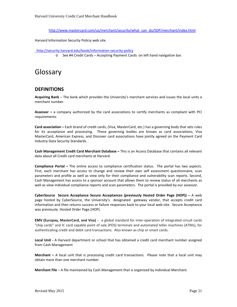[http://www.mastercard.com/us/merchant/security/what\\_can\\_do/SDP/merchant/index.html](http://www.mastercard.com/us/merchant/security/what_can_do/SDP/merchant/index.html)

Harvard Information Security Policiy web site.

<span id="page-20-0"></span>http://security.harvard.edu/book/information-security-policy

o See #4 Credit Cards – Accepting Payment Cards on left hand navigation bar.

Glossary

## <span id="page-20-1"></span>**DEFINITIONS**

**Acquiring Bank** – The bank which provides the University's merchant services and issues the local units a merchant number.

**Assessor –** a company authorized by the card associations to certify merchants as compliant with PCI requirements.

**Card association –** Each brand of credit cards, (Visa, MasterCard, etc.) has a governing body that sets rules for its acceptance and processing. These governing bodies are known as card associations, Visa MasterCard, American Express, and Discover card associations have jointly agreed on the Payment Card Industry Data Security Standards.

**Cash Management Credit Card Merchant Database –** This is an Access Database that contains all relevant data about all Credit card merchants at Harvard.

**Compliance Portal –** The online access to compliance certification status. The portal has two aspects. First, each merchant has access to change and review their own self assessment questionnaire, scan parameters and profile as well as view only for their compliance and vulnerability scan reports. Second, Cash Management has access to a sponsor account that allows them to review status of all merchants as well as view individual compliance reports and scan parameters. The portal is provided by our assessor.

**CyberSource Secure Acceptance Secure Acceptances (previously Hosted Order Page (HOP)) –** A web page hosted by CyberSource, the University's designated gateway vendor, that accepts credit card information and then returns success or failure responses back to your local web-site. Secure Acceptance was previously Hosted Order Page (HOP).

**EMV (Europay, MasterCard, and Visa)** - a global standard for inter-operation of integrated circuit cards "chip cards" and IC card capable point of sale (POS) terminals and automated teller machines (ATMs), for authenticating credit and debit card transactions. Also known as chip or smart cards.

**Local Unit -** A Harvard department or school that has obtained a credit card merchant number assigned from Cash Management

**Merchant –** A local unit that is processing credit card transactions. Please note that a local unit may obtain more than one merchant number.

**Merchant File** – A file maintained by Cash Management that is organized by individual Merchant.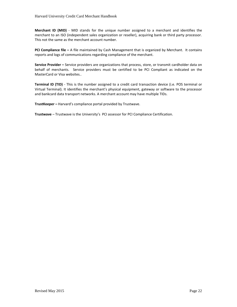**Merchant ID (MID)** - MID stands for the unique number assigned to a merchant and identifies the merchant to an ISO (independent sales organization or reseller), acquiring bank or third party processor. This not the same as the merchant account number.

**PCI Compliance file –** A file maintained by Cash Management that is organized by Merchant. It contains reports and logs of communications regarding compliance of the merchant.

**Service Provider –** Service providers are organizations that process, store, or transmit cardholder data on behalf of merchants. Service providers must be certified to be PCI Compliant as indicated on the MasterCard or Visa websites..

**Terminal ID (TID)** - This is the number assigned to a credit card transaction device (i.e. POS terminal or Virtual Terminal). It identifies the merchant's physical equipment, gateway or software to the processor and bankcard data transport networks. A merchant account may have multiple TIDs.

**TrustKeeper –** Harvard's compliance portal provided by Trustwave.

**Trustwave** – Trustwave is the University's PCI assessor for PCI Compliance Certification.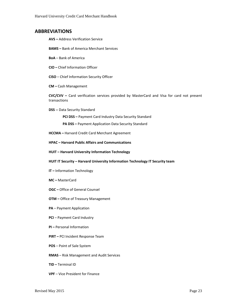#### <span id="page-22-0"></span>**ABBREVIATIONS**

- **AVS –** Address Verification Service
- **BAMS –** Bank of America Merchant Services
- **BoA**  Bank of America
- **CIO –** Chief Information Officer
- **CISO**  Chief Information Security Officer
- **CM –** Cash Management

**CVC/CVV –** Card verification services provided by MasterCard and Visa for card not present transactions

**DSS --** Data Security Standard

**PCI DSS –** Payment Card Industry Data Security Standard

- **PA DSS –** Payment Application Data Security Standard
- **HCCMA –** Harvard Credit Card Merchant Agreement
- **HPAC – Harvard Public Affairs and Communications**
- **HUIT – Harvard University Information Technology**
- **HUIT IT Security – Harvard University Information Technology IT Security team**
- **IT –** Information Technology
- **MC –** MasterCard
- **OGC –** Office of General Counsel
- **OTM –** Office of Treasury Management
- **PA**  Payment Application
- **PCI** Payment Card Industry
- **PI –** Personal Information
- **PIRT –** PCI Incident Response Team
- **POS** Point of Sale System
- **RMAS**  Risk Management and Audit Services
- **TID –** Terminal ID
- **VPF** Vice President for Finance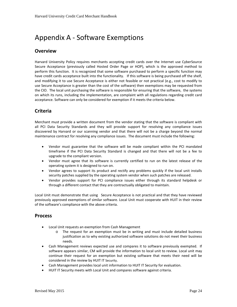# <span id="page-23-0"></span>Appendix A - Software Exemptions

## **Overview**

Harvard University Policy requires merchants accepting credit cards over the Internet use CyberSource Secure Acceptance (previously called Hosted Order Page or HOP), which is the approved method to perform this function. It is recognized that some software purchased to perform a specific function may have credit cards acceptance built into the functionality. If this software is being purchased off the shelf, and modifying it to use Secure Acceptance is either not feasible or not practical (e.g., cost to modify to use Secure Acceptance is greater than the cost of the software) then exemptions may be requested from the CIO. The local unit purchasing the software is responsible for ensuring that the software, the systems on which its runs, including the implementation, are complaint with all regulations regarding credit card acceptance. Software can only be considered for exemption if it meets the criteria below.

## **Criteria**

Merchant must provide a written document from the vendor stating that the software is compliant with all PCI Data Security Standards and they will provide support for resolving any compliance issues discovered by Harvard or our scanning vendor and that there will not be a charge beyond the normal maintenance contract for resolving any compliance issues. The document must include the following:

- Vendor must guarantee that the software will be made compliant within the PCI mandated timeframe if the PCI Data Security Standard is changed and that there will not be a fee to upgrade to the compliant version.
- Vendor must agree that its software is currently certified to run on the latest release of the operating system it is designed to run on.
- Vendor agrees to support its product and rectify any problems quickly if the local unit installs security patches supplied by the operating system vendor when such patches are released.
- Vendor provides support for PCI compliance issues either through its standard helpdesk or through a different contact that they are contractually obligated to maintain.

Local Unit must demonstrate that using Secure Acceptance is not practical and that they have reviewed previously approved exemptions of similar software. Local Unit must cooperate with HUIT in their review of the software's compliance with the above criteria.

## **Process**

- Local Unit requests an exemption from Cash Management
	- o The request for an exemption must be in writing and must include detailed business justification as to why existing authorized software solutions do not meet their business needs.
- Cash Management reviews expected use and compares it to software previously exempted. If software appears similar, CM will provide the information to local unit to review. Local unit may continue their request for an exemption but existing software that meets their need will be considered in the review by HUIT IT Security.
- Cash Management provides local unit information to HUIT IT Security for evaluation.
- HUIT IT Security meets with Local Unit and compares software against criteria.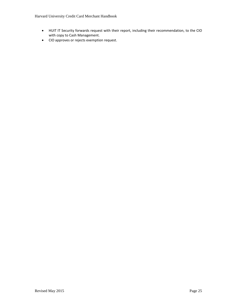Harvard University Credit Card Merchant Handbook

- HUIT IT Security forwards request with their report, including their recommendation, to the CIO with copy to Cash Management.
- CIO approves or rejects exemption request.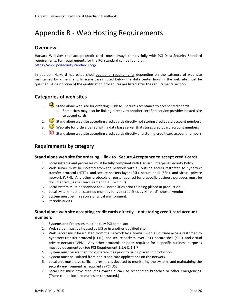# <span id="page-25-0"></span>Appendix B - Web Hosting Requirements

## **Overview**

Harvard Websites that accept credit cards must always comply fully with PCI Data Security Standard requirements. Full requirements for the PCI standard can be found at: <https://www.pcisecuritystandards.org/>

In addition Harvard has established additional requirements depending on the category of web site maintained by a merchant. In some cases noted below the data center housing the web site must be qualified. A description of the qualification procedures are listed after the requirements section.

## **Categories of web sites**

- 1. Stand alone web site for ordering link to Secure Acceptance to accept credit cards
	- a. Some sites may also be linking directly to another certified service provider hosted site to accept cards
- 2.  $\bigcirc$  Stand alone web site accepting credit cards directly not storing credit card account numbers
- 3.  $\bigcirc$  Web site for orders paired with a data base server that stores credit card account numbers
- 4.  $\Box$  Stand alone web site accepting credit cards directly and storing credit card account numbers

## **Requirements by category**

#### **Stand alone web site for ordering – link to Secure Acceptance to accept credit cards**

- 1. Local systems and processes must be fully compliant with Harvard Enterprise Security Policy.
- 2. Web server must be isolated from the network with all outside access restricted to hypertext transfer protocol (HTTP), and secure sockets layer (SSL), secure shell (SSH), and virtual private network (VPN). Any other protocols or ports required for a specific business purposes must be documented (See PCI Requirement 1.1.6 & 1.1.7).
- 3. Local system must be scanned for vulnerabilities prior to being placed in production.
- 4. Local system must be scanned monthly for vulnerabilities by Harvard's chosen vendor.
- 5. System must be in a secure physical environment.
- 6. Periodic audits

#### **Stand alone web site accepting credit cards directly – not storing credit card account numbers**

- 1. Systems and Processes must be fully PCI compliant
- 2. Web server must be housed at UIS or in another qualified site
- 3. Web server must be isolated from the network by a firewall with all outside access restricted to hypertext transfer protocol (HTTP), and secure sockets layer (SSL), secure shell (SSH), and virtual private network (VPN). Any other protocols or ports required for a specific business purposes must be documented (See PCI Requirement 1.1.6 & 1.1.7).
- 4. System must be scanned for vulnerabilities prior to being placed in production
- 5. System must be isolated from non credit card applications on the network
- 6. Local unit must have sufficient resources devoted to monitoring the systems and maintaining the security environment as required in PCI DSS.
- 7. Local unit must have resources available 24/7 to respond to breaches or other emergencies. (These can be local resources or contracted.)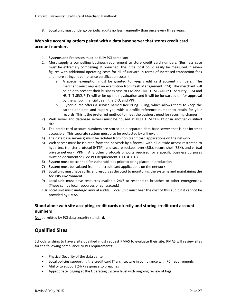8. Local unit must undergo periodic audits no less frequently than once every three years.

#### **Web site accepting orders paired with a data base server that stores credit card account numbers**

- 1. Systems and Processes must be fully PCI compliant.
- 2. Must supply a compelling business requirement to store credit card numbers. (Business case must be extremely compelling. If breached, the initial cost could easily be measured in seven figures with additional operating costs for all of Harvard in terms of increased transaction fees and more stringent compliance certification costs.)
	- a. A special exemption must be granted to keep credit card account numbers. The merchant must request an exemption from Cash Management (CM). The merchant will be able to present their business case to CM and HUIT IT SECURITY IT Security. CM and HUIT IT SECURITY will write up their evaluation and it will be forwarded on for approval by the school financial dean, the CIO, and VPF.
	- b. CyberSource offers a service named Recurring Billing, which allows them to keep the cardholder data and supply you with a profile reference number to retain for your records. This is the preferred method to meet the business need for recurring charges.
- 2) Web server and database servers must be housed at HUIT IT SECURITY or in another qualified site
- 3) The credit card account numbers are stored on a separate data base server that is not Internet accessible. This separate system must also be protected by a firewall.
- 4) The data base server(s) must be isolated from non credit card applications on the network.
- 5) Web server must be isolated from the network by a firewall with all outside access restricted to hypertext transfer protocol (HTTP), and secure sockets layer (SSL), secure shell (SSH), and virtual private network (VPN). Any other protocols or ports required for a specific business purposes must be documented (See PCI Requirement 1.1.6 & 1.1.7).
- 6) System must be scanned for vulnerabilities prior to being placed in production
- 7) System must be isolated from non credit card applications on the network
- 8) Local unit must have sufficient resources devoted to monitoring the systems and maintaining the security environment.
- 9) Local unit must have resources available 24/7 to respond to breaches or other emergencies. (These can be local resources or contracted.)
- 10) Local unit must undergo annual audits. Local unit must bear the cost of this audit if it cannot be provided by RMAS.

## **Stand alone web site accepting credit cards directly and storing credit card account numbers**

Not permitted by PCI data security standard.

## **Qualified Sites**

Schools wishing to have a site qualified must request RMAS to evaluate their site. RMAS will review sites for the following compliance to PCI requirements:

- Physical Security of the data center
- Local policies supporting the credit card IT architecture in compliance with PCI requirements
- Ability to support 24/7 response to breaches
- Appropriate logging at the Operating System level with ongoing review of logs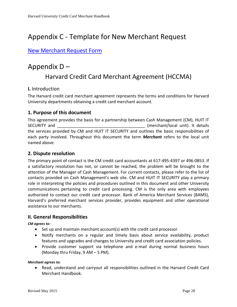# <span id="page-27-0"></span>Appendix C - Template for New Merchant Request

## [New Merchant Request Form](http://hwpi.harvard.edu/files/otm/files/credit_card_merchant_account_request_form.pdf)

# <span id="page-27-1"></span>Appendix D – Harvard Credit Card Merchant Agreement (HCCMA)

## **I.** Introduction

The Harvard credit card merchant agreement represents the terms and conditions for Harvard University departments obtaining a credit card merchant account.

## **1. Purpose of this document**

This agreement provides the basis for a partnership between Cash Management (CM), HUIT IT SECURITY and **SECURITY** and **SECURITY** and **SECURITY** and **SECURITY** and **SECURITY** and **SECURITY** and **SECURITY** and **SECURITY** and **SECURITY** and **SECURITY** and **SECURITY** and **SECURITY** and **SECURITY** and **SECURITY** and the services provided by CM and HUIT IT SECURITY and outlines the basic responsibilities of each party involved. Throughout this document the term *Merchant* refers to the local unit named above.

## **2. Dispute resolution**

The primary point of contact is the CM credit card accountants at 617-495-4397 or 496-0853. If a satisfactory resolution has not, or cannot be reached, the problem will be brought to the attention of the Manager of Cash Management. For current contacts, please refer to the list of contacts provided on Cash Management's web site. CM and HUIT IT SECURITY play a primary role in interpreting the policies and procedures outlined in this document and other University communications pertaining to credit card processing. CM is the only area with employees authorized to contact our credit card processor. Bank of America Merchant Services (BAMS), Harvard's preferred merchant services provider, provides equipment and other operational assistance to our merchants.

## **II. General Responsibilities**

#### *CM agrees to:*

- Set up and maintain merchant account(s) with the credit card processor.
- Notify merchants on a regular and timely basis about service availability, product features and upgrades and changes to University and credit card association policies.
- Provide customer support via telephone and e-mail during normal business hours (Monday thru Friday, 9 AM – 5 PM).

#### *Merchant agrees to:*

• Read, understand and carryout all responsibilities outlined in the Harvard Credit Card Merchant Handbook.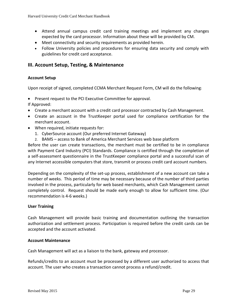- Attend annual campus credit card training meetings and implement any changes expected by the card processor. Information about these will be provided by CM.
- Meet connectivity and security requirements as provided herein.
- Follow University policies and procedures for ensuring data security and comply with guidelines for credit card acceptance.

## **III. Account Setup, Testing, & Maintenance**

## **Account Setup**

Upon receipt of signed, completed CCMA Merchant Request Form, CM will do the following:

• Present request to the PCI Executive Committee for approval.

If Approved:

- Create a merchant account with a credit card processor contracted by Cash Management.
- Create an account in the TrustKeeper portal used for compliance certification for the merchant account.
- When required, initiate requests for:
	- 1. CyberSource account (Our preferred Internet Gateway)
	- 2. BAMS access to Bank of America Merchant Services web base platform

Before the user can create transactions, the merchant must be certified to be in compliance with Payment Card Industry (PCI) Standards. Compliance is certified through the completion of a self-assessment questionnaire in the TrustKeeper compliance portal and a successful scan of any Internet accessible computers that store, transmit or process credit card account numbers.

Depending on the complexity of the set-up process, establishment of a new account can take a number of weeks. This period of time may be necessary because of the number of third parties involved in the process, particularly for web based merchants, which Cash Management cannot completely control. Request should be made early enough to allow for sufficient time. (Our recommendation is 4-6 weeks.)

## **User Training**

Cash Management will provide basic training and documentation outlining the transaction authorization and settlement process. Participation is required before the credit cards can be accepted and the account activated.

#### **Account Maintenance**

Cash Management will act as a liaison to the bank, gateway and processor.

Refunds/credits to an account must be processed by a different user authorized to access that account. The user who creates a transaction cannot process a refund/credit.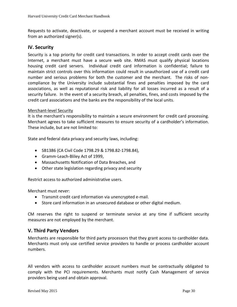Requests to activate, deactivate, or suspend a merchant account must be received in writing from an authorized signer(s).

## **IV. Security**

Security is a top priority for credit card transactions. In order to accept credit cards over the Internet, a merchant must have a secure web site. RMAS must qualify physical locations housing credit card servers. Individual credit card information is confidential; failure to maintain strict controls over this information could result in unauthorized use of a credit card number and serious problems for both the customer and the merchant. The risks of noncompliance by the University include substantial fines and penalties imposed by the card associations, as well as reputational risk and liability for all losses incurred as a result of a security failure. In the event of a security breach, all penalties, fines, and costs imposed by the credit card associations and the banks are the responsibility of the local units.

#### Merchant-level Security

It is the merchant's responsibility to maintain a secure environment for credit card processing. Merchant agrees to take sufficient measures to ensure security of a cardholder's information. These include, but are not limited to:

State and federal data privacy and security laws, including:

- SB1386 (CA Civil Code 1798.29 & 1798.82-1798.84),
- Gramm-Leach-Bliley Act of 1999,
- Massachusetts Notification of Data Breaches, and
- Other state legislation regarding privacy and security

Restrict access to authorized administrative users.

Merchant must *never*:

- Transmit credit card information via unencrypted e-mail.
- Store card information in an unsecured database or other digital medium.

CM reserves the right to suspend or terminate service at any time if sufficient security measures are not employed by the merchant.

## **V. Third Party Vendors**

Merchants are responsible for third party processors that they grant access to cardholder data. Merchants must only use certified service providers to handle or process cardholder account numbers.

All vendors with access to cardholder account numbers must be contractually obligated to comply with the PCI requirements. Merchants must notify Cash Management of service providers being used and obtain approval.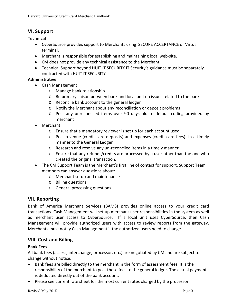## **VI. Support**

## **Technical**

- CyberSource provides support to Merchants using SECURE ACCEPTANCE or Virtual terminal.
- Merchant is responsible for establishing and maintaining local web-site.
- CM does not provide any technical assistance to the Merchant.
- Technical Support beyond HUIT IT SECURITY IT Security's guidance must be separately contracted with HUIT IT SECURITY

## **Administrative**

- Cash Management
	- o Manage bank relationship
	- o Be primary liaison between bank and local unit on issues related to the bank
	- o Reconcile bank account to the general ledger
	- o Notify the Merchant about any reconciliation or deposit problems
	- o Post any unreconciled items over 90 days old to default coding provided by merchant
- Merchant
	- o Ensure that a mandatory reviewer is set up for each account used
	- o Post revenue (credit card deposits) and expenses (credit card fees) in a timely manner to the General Ledger
	- o Research and resolve any un-reconciled items in a timely manner
	- o Ensure that any refunds/credits are processed by a user other than the one who created the original transaction.
- The CM Support Team is the Merchant's first line of contact for support. Support Team members can answer questions about:
	- o Merchant setup and maintenance
	- o Billing questions
	- o General processing questions

## **VII. Reporting**

Bank of America Merchant Services (BAMS) provides online access to your credit card transactions. Cash Management will set up merchant user responsibilities in the system as well as merchant user access to CyberSource. If a local unit uses CyberSource, then Cash Management will provide authorized users with access to review reports from the gateway. Merchants must notify Cash Management if the authorized users need to change.

## **VIII. Cost and Billing**

## **Bank Fees**

All bank fees (access, interchange, processor, etc.) are negotiated by CM and are subject to change without notice.

- Bank fees are billed directly to the merchant in the form of assessment fees. It is the responsibility of the merchant to post these fees to the general ledger. The actual payment is deducted directly out of the bank account.
- Please see current rate sheet for the most current rates charged by the processor.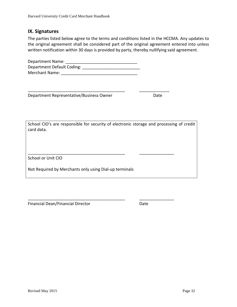## **IX. Signatures**

The parties listed below agree to the terms and conditions listed in the HCCMA. Any updates to the original agreement shall be considered part of the original agreement entered into unless written notification within 30 days is provided by party, thereby nullifying said agreement.

| Department Name:           |  |
|----------------------------|--|
| Department Default Coding: |  |
| <b>Merchant Name:</b>      |  |

\_\_\_\_\_\_\_\_\_\_\_\_\_\_\_\_\_\_\_\_\_\_\_\_\_\_\_\_\_\_\_\_\_\_\_\_\_\_\_\_\_\_ \_\_\_\_\_\_\_\_\_\_\_\_\_

\_\_\_\_\_\_\_\_\_\_\_\_\_\_\_\_\_\_\_\_\_\_\_\_\_\_\_\_\_\_\_\_\_\_\_\_\_\_\_\_\_\_ \_\_\_\_\_\_\_\_\_\_\_\_\_\_\_

\_\_\_\_\_\_\_\_\_\_\_\_\_\_\_\_\_\_\_\_\_\_\_\_\_\_\_\_\_\_\_\_\_\_\_\_\_\_\_\_\_\_ \_\_\_\_\_\_\_\_\_\_\_\_\_\_\_

Department Representative/Business Owner Date

School CIO's are responsible for security of electronic storage and processing of credit card data.

School or Unit CIO

Not Required by Merchants only using Dial-up terminals

Financial Dean/Financial Director Date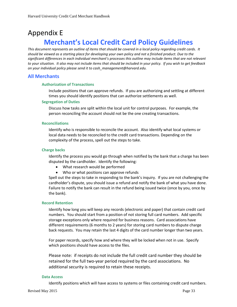# <span id="page-32-0"></span>Appendix E **Merchant's Local Credit Card Policy Guidelines**

*This document represents an outline of items that should be covered in a local policy regarding credit cards. It should be viewed as a starting place for developing your own policy and not a finished product. Due to the significant differences in each individual merchant's processes this outline may include items that are not relevant to your situation. It also may not include items that should be included in your policy. If you wish to get feedback on your individual policy please send it to cash\_management@harvard.edu.*

## <span id="page-32-1"></span>**All Merchants**

#### **Authorization of Transactions**

Include positions that can approve refunds. If you are authorizing and settling at different times you should identify positions that can authorize settlements as well.

#### **Segregation of Duties**

Discuss how tasks are split within the local unit for control purposes. For example, the person reconciling the account should not be the one creating transactions.

#### **Reconciliations**

Identify who is responsible to reconcile the account. Also identify what local systems or local data needs to be reconciled to the credit card transactions. Depending on the complexity of the process, spell out the steps to take.

#### **Charge backs**

Identify the process you would go through when notified by the bank that a charge has been disputed by the cardholder. Identify the following:

- What research would be performed
- Who or what positions can approve refunds

Spell out the steps to take in responding to the bank's inquiry. If you are not challenging the cardholder's dispute, you should issue a refund and notify the bank of what you have done. Failure to notify the bank can result in the refund being issued twice (once by you, once by the bank).

#### **Record Retention**

Identify how long you will keep any records (electronic and paper) that contain credit card numbers. You should start from a position of not storing full card numbers. Add specific storage exceptions only where required for business reasons. Card associations have different requirements (6 months to 2 years) for storing card numbers to dispute charge back requests. You may retain the last 4 digits of the card number longer than two years.

For paper records, specify how and where they will be locked when not in use. Specify which positions should have access to the files.

Please note: if receipts do not include the full credit card number they should be retained for the full two-year period required by the card associations. No additional security is required to retain these receipts.

#### **Data Access**

Identify positions which will have access to systems or files containing credit card numbers.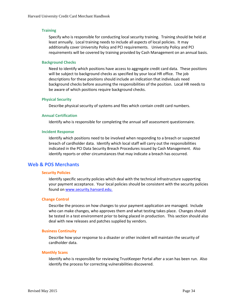#### **Training**

Specify who is responsible for conducting local security training. Training should be held at least annually. Local training needs to include all aspects of local policies. It may additionally cover University Policy and PCI requirements. University Policy and PCI requirements will be covered by training provided by Cash Management on an annual basis.

#### **Background Checks**

Need to identify which positions have access to aggregate credit card data. These positions will be subject to background checks as specified by your local HR office. The job descriptions for these positions should include an indication that individuals need background checks before assuming the responsibilities of the position. Local HR needs to be aware of which positions require background checks.

#### **Physical Security**

Describe physical security of systems and files which contain credit card numbers.

#### **Annual Certification**

Identify who is responsible for completing the annual self assessment questionnaire.

#### **Incident Response**

Identify which positions need to be involved when responding to a breach or suspected breach of cardholder data. Identify which local staff will carry out the responsibilities indicated in the PCI Data Security Breach Procedures issued by Cash Management. Also identify reports or other circumstances that may indicate a breach has occurred.

## <span id="page-33-0"></span>**Web & POS Merchants**

#### **Security Policies**

Identify specific security policies which deal with the technical infrastructure supporting your payment acceptance. Your local policies should be consistent with the security policies found on www.security.harvard.edu.

#### **Change Control**

Describe the process on how changes to your payment application are managed. Include who can make changes, who approves them and what testing takes place. Changes should be tested in a test environment prior to being placed in production. This section should also deal with new releases and patches supplied by vendors.

#### **Business Continuity**

Describe how your response to a disaster or other incident will maintain the security of cardholder data.

#### **Monthly Scans**

Identify who is responsible for reviewing TrustKeeper Portal after a scan has been run. Also identify the process for correcting vulnerabilities discovered.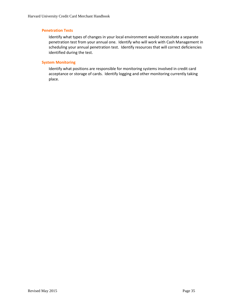#### **Penetration Tests**

Identify what types of changes in your local environment would necessitate a separate penetration test from your annual one. Identify who will work with Cash Management in scheduling your annual penetration test. Identify resources that will correct deficiencies identified during the test.

#### **System Monitoring**

Identify what positions are responsible for monitoring systems involved in credit card acceptance or storage of cards. Identify logging and other monitoring currently taking place.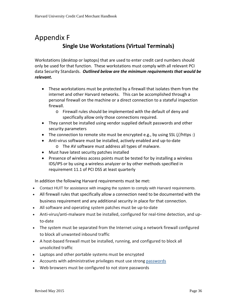# <span id="page-35-0"></span>Appendix F **Single Use Workstations (Virtual Terminals)**

Workstations (desktop or laptops) that are used to enter credit card numbers should only be used for that function. These workstations must comply with all relevant PCI data Security Standards. *Outlined below are the minimum requirements that would be relevant.* 

- These workstations must be protected by a firewall that isolates them from the internet and other Harvard networks. This can be accomplished through a personal firewall on the machine or a direct connection to a stateful inspection firewall.
	- o Firewall rules should be implemented with the default of deny and specifically allow only those connections required.
- They cannot be installed using vendor supplied default passwords and other security parameters
- The connection to remote site must be encrypted e.g., by using SSL  $\frac{1}{\text{https://www.spt.org/}{\text{https://www.spt.org/}{\text{https://www.spt.org/}{\text{https://www.spt.org/}{\text{https://www.spt.org/}{\text{https://www.spt.org/}{\text{https://www.spt.org/}{\text{https://www.spt.org/}{\text{https://www.spt.org/}{\text{https://www.spt.org/}{\text{https://www.spt.org/}{\text{https://www.spt.org/}{\text{https://www.spt.org/}{\text{$
- Anti-virus software must be installed, actively enabled and up-to-date o The AV software must address all types of malware.
- Must have latest security patches installed
- Presence of wireless access points must be tested for by installing a wireless IDS/IPS or by using a wireless analyzer or by other methods specified in requirement 11.1 of PCI DSS at least quarterly

In addition the following Harvard requirements must be met:

- Contact HUIT for assistance with imaging the system to comply with Harvard requirements.
- All firewall rules that specifically allow a connection need to be documented with the business requirement and any additional security in place for that connection.
- All software and operating system patches must be up-to-date
- Anti-virus/anti-malware must be installed, configured for real-time detection, and upto-date
- The system must be separated from the Internet using a network firewall configured to block all unwanted inbound traffic
- A host-based firewall must be installed, running, and configured to block all unsolicited traffic
- Laptops and other portable systems must be encrypted
- Accounts with administrative privileges must use strong [passwords](http://security.harvard.edu/passwords)
- Web browsers must be configured to not store passwords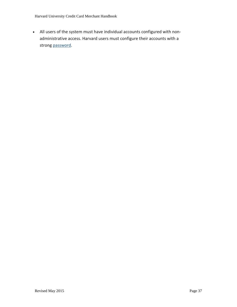• All users of the system must have individual accounts configured with nonadministrative access. Harvard users must configure their accounts with a strong [password.](http://security.harvard.edu/passwords)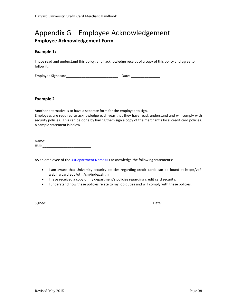## <span id="page-37-0"></span>Appendix G – Employee Acknowledgement **Employee Acknowledgement Form**

#### **Example 1:**

I have read and understand this policy; and I acknowledge receipt of a copy of this policy and agree to follow it.

Employee Signature\_\_\_\_\_\_\_\_\_\_\_\_\_\_\_\_\_\_\_\_\_\_\_\_\_\_\_ Date: \_\_\_\_\_\_\_\_\_\_\_\_\_\_\_

#### **Example 2**

Another alternative is to have a separate form for the employee to sign. Employees are required to acknowledge each year that they have read, understand and will comply with security policies. This can be done by having them sign a copy of the merchant's local credit card policies. A sample statement is below.

Name: \_\_\_\_\_\_\_\_\_\_\_\_\_\_\_\_\_\_\_\_\_\_\_\_\_ HUI: \_\_\_\_\_\_\_\_\_\_\_\_\_\_\_\_\_\_\_\_\_\_\_\_\_

AS an employee of the << Department Name>> I acknowledge the following statements:

- I am aware that University security policies regarding credit cards can be found at http://vpfweb.harvard.edu/otm/cm/index.shtml
- I have received a copy of my department's policies regarding credit card security.
- I understand how these policies relate to my job duties and will comply with these policies.

Signed: \_\_\_\_\_\_\_\_\_\_\_\_\_\_\_\_\_\_\_\_\_\_\_\_\_\_\_\_\_\_\_\_\_\_\_\_\_\_\_\_\_\_\_\_\_\_\_\_\_\_\_\_\_ Date:\_\_\_\_\_\_\_\_\_\_\_\_\_\_\_\_\_\_\_\_\_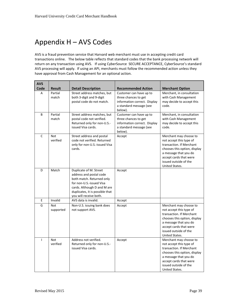# <span id="page-38-0"></span>Appendix H – AVS Codes

AVS is a fraud prevention service that Harvard web merchant must use in accepting credit card transactions online. The below table reflects that standard codes that the bank processing network will return on any transaction using AVS. If using CyberSource SECURE ACCEPTANCE, CyberSource's standard AVS processing will apply. If using an API, merchants must follow the recommended action unless they have approval from Cash Management for an optional action.

| <b>AVS</b>     |                         |                                                                                                                                                                                                        |                                                                                                                       |                                                                                                                                                                                                             |
|----------------|-------------------------|--------------------------------------------------------------------------------------------------------------------------------------------------------------------------------------------------------|-----------------------------------------------------------------------------------------------------------------------|-------------------------------------------------------------------------------------------------------------------------------------------------------------------------------------------------------------|
| Code           | <b>Result</b>           | <b>Detail Description</b>                                                                                                                                                                              | <b>Recommended Action</b>                                                                                             | <b>Merchant Option</b>                                                                                                                                                                                      |
| A              | Partial<br>match        | Street address matches, but<br>both 3-digit and 9-digit<br>postal code do not match.                                                                                                                   | Customer can have up to<br>three chances to get<br>information correct. Display<br>a standard message (see<br>below). | Merchant, in consultation<br>with Cash Management<br>may decide to accept this<br>code.                                                                                                                     |
| B              | Partial<br>match        | Street address matches, but<br>postal code not verified.<br>Returned only for non-U.S.-<br>issued Visa cards.                                                                                          | Customer can have up to<br>three chances to get<br>information correct. Display<br>a standard message (see<br>below). | Merchant, in consultation<br>with Cash Management<br>may decide to accept this<br>code.                                                                                                                     |
| $\mathsf{C}$   | <b>Not</b><br>verified  | Street address and postal<br>code not verified. Returned<br>only for non-U.S.-issued Visa<br>cards.                                                                                                    | Accept                                                                                                                | Merchant may choose to<br>not accept this type of<br>transaction. If Merchant<br>chooses this option, display<br>a message that you do<br>accept cards that were<br>issued outside of the<br>United States. |
| D              | Match                   | Duplicate of M. Street<br>address and postal code<br>both match. Returned only<br>for non-U.S.-issued Visa<br>cards. Although D and M are<br>duplicates, it is possible that<br>you will receive both. | Accept                                                                                                                |                                                                                                                                                                                                             |
| E              | Invalid                 | AVS data is invalid.                                                                                                                                                                                   | Accept                                                                                                                |                                                                                                                                                                                                             |
| G              | <b>Not</b><br>supported | Non-U.S. issuing bank does<br>not support AVS.                                                                                                                                                         | Accept                                                                                                                | Merchant may choose to<br>not accept this type of<br>transaction. If Merchant<br>chooses this option, display<br>a message that you do<br>accept cards that were<br>issued outside of the<br>United States. |
| $\overline{1}$ | <b>Not</b><br>verified  | Address not verified.<br>Returned only for non-U.S.-<br>issued Visa cards.                                                                                                                             | Accept                                                                                                                | Merchant may choose to<br>not accept this type of<br>transaction. If Merchant<br>chooses this option, display<br>a message that you do<br>accept cards that were<br>issued outside of the<br>United States. |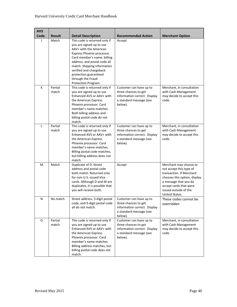| <b>AVS</b> |                  |                                                                                                                                                                                                                                                                                                                 |                                                                                                                       |                                                                                                                                                                                                             |
|------------|------------------|-----------------------------------------------------------------------------------------------------------------------------------------------------------------------------------------------------------------------------------------------------------------------------------------------------------------|-----------------------------------------------------------------------------------------------------------------------|-------------------------------------------------------------------------------------------------------------------------------------------------------------------------------------------------------------|
| Code       | <b>Result</b>    | <b>Detail Description</b>                                                                                                                                                                                                                                                                                       | <b>Recommended Action</b>                                                                                             | <b>Merchant Option</b>                                                                                                                                                                                      |
| J          | Match            | This code is returned only if<br>you are signed up to use<br>AAV+ with the American<br>Express Phoenix processor.<br>Card member's name, billing<br>address, and postal code all<br>match. Shipping information<br>verified and chargeback<br>protection guaranteed<br>through the Fraud<br>Protection Program. | Accept                                                                                                                |                                                                                                                                                                                                             |
| К          | Partial<br>match | This code is returned only if<br>you are signed up to use<br>Enhanced AVS or AAV+ with<br>the American Express<br>Phoenix processor. Card<br>member's name matches.<br>Both billing address and<br>billing postal code do not<br>match.                                                                         | Customer can have up to<br>three chances to get<br>information correct. Display<br>a standard message (see<br>below). | Merchant, in consultation<br>with Cash Management<br>may decide to accept this<br>code.                                                                                                                     |
| L          | Partial<br>match | This code is returned only if<br>you are signed up to use<br>Enhanced AVS or AAV+ with<br>the American Express<br>Phoenix processor. Card<br>member's name matches.<br>Billing postal code matches,<br>but billing address does not<br>match.                                                                   | Customer can have up to<br>three chances to get<br>information correct. Display<br>a standard message (see<br>below). | Merchant, in consultation<br>with Cash Management<br>may decide to accept this<br>code.                                                                                                                     |
| м          | Match            | Duplicate of D. Street<br>address and postal code<br>both match. Returned only<br>for non-U.S.-issued Visa<br>cards. Although D and M are<br>duplicates, it is possible that<br>you will receive both.                                                                                                          | Accept                                                                                                                | Merchant may choose to<br>not accept this type of<br>transaction. If Merchant<br>chooses this option, display<br>a message that you do<br>accept cards that were<br>issued outside of the<br>United States. |
| N          | No match         | Street address, 3-digit postal<br>code, and 9-digit postal code<br>all do not match.                                                                                                                                                                                                                            | Customer can have up to<br>three chances to get<br>information correct. Display<br>a standard message (see<br>below). | These codes cannot be<br>overridden                                                                                                                                                                         |
| O          | Partial<br>match | This code is returned only if<br>you are signed up to use<br>Enhanced AVS or AAV+ with<br>the American Express<br>Phoenix processor. Card<br>member's name matches.<br>Billing address matches, but<br>billing postal code does not<br>match.                                                                   | Customer can have up to<br>three chances to get<br>information correct. Display<br>a standard message (see<br>below). | Merchant, in consultation<br>with Cash Management<br>may decide to accept this<br>code.                                                                                                                     |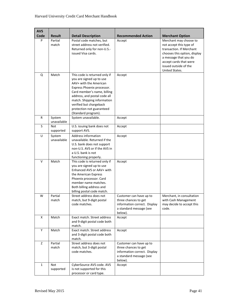| <b>AVS</b> |                       |                                                                                                                                                                                                                                                                                                |                                                                                                                       |                                                                                                                                                                                                             |
|------------|-----------------------|------------------------------------------------------------------------------------------------------------------------------------------------------------------------------------------------------------------------------------------------------------------------------------------------|-----------------------------------------------------------------------------------------------------------------------|-------------------------------------------------------------------------------------------------------------------------------------------------------------------------------------------------------------|
| Code       | <b>Result</b>         | <b>Detail Description</b>                                                                                                                                                                                                                                                                      | <b>Recommended Action</b>                                                                                             | <b>Merchant Option</b>                                                                                                                                                                                      |
| P          | Partial<br>match      | Postal code matches, but<br>street address not verified.<br>Returned only for non-U.S.-<br>issued Visa cards.                                                                                                                                                                                  | Accept                                                                                                                | Merchant may choose to<br>not accept this type of<br>transaction. If Merchant<br>chooses this option, display<br>a message that you do<br>accept cards that were<br>issued outside of the<br>United States. |
| Q          | Match                 | This code is returned only if<br>you are signed up to use<br>AAV+ with the American<br>Express Phoenix processor.<br>Card member's name, billing<br>address, and postal code all<br>match. Shipping information<br>verified but chargeback<br>protection not guaranteed<br>(Standard program). | Accept                                                                                                                |                                                                                                                                                                                                             |
| R          | System<br>unavailable | System unavailable.                                                                                                                                                                                                                                                                            | Accept                                                                                                                |                                                                                                                                                                                                             |
| S          | Not<br>supported      | U.S. issuing bank does not<br>support AVS.                                                                                                                                                                                                                                                     | Accept                                                                                                                |                                                                                                                                                                                                             |
| U          | System<br>unavailable | Address information<br>unavailable. Returned if the<br>U.S. bank does not support<br>non-U.S. AVS or if the AVS in<br>a U.S. bank is not<br>functioning properly.                                                                                                                              | Accept                                                                                                                |                                                                                                                                                                                                             |
| v          | Match                 | This code is returned only if<br>you are signed up to use<br>Enhanced AVS or AAV+ with<br>the American Express<br>Phoenix processor. Card<br>member name matches.<br>Both billing address and<br>billing postal code match.                                                                    | Accept                                                                                                                |                                                                                                                                                                                                             |
| W          | Partial<br>match      | Street address does not<br>match, but 9-digit postal<br>code matches.                                                                                                                                                                                                                          | Customer can have up to<br>three chances to get<br>information correct. Display<br>a standard message (see<br>below). | Merchant, in consultation<br>with Cash Management<br>may decide to accept this<br>code.                                                                                                                     |
| Χ          | Match                 | Exact match. Street address<br>and 9-digit postal code both<br>match.                                                                                                                                                                                                                          | Accept                                                                                                                |                                                                                                                                                                                                             |
| Υ          | Match                 | Exact match. Street address<br>and 3-digit postal code both<br>match.                                                                                                                                                                                                                          | Accept                                                                                                                |                                                                                                                                                                                                             |
| Z          | Partial<br>match      | Street address does not<br>match, but 3-digit postal<br>code matches.                                                                                                                                                                                                                          | Customer can have up to<br>three chances to get<br>information correct. Display<br>a standard message (see<br>below). |                                                                                                                                                                                                             |
| 1          | Not<br>supported      | CyberSource AVS code. AVS<br>is not supported for this<br>processor or card type.                                                                                                                                                                                                              | Accept                                                                                                                |                                                                                                                                                                                                             |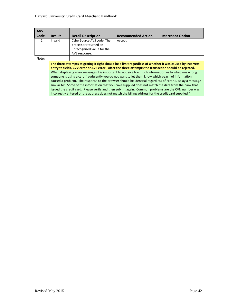| <b>AVS</b><br>Code | <b>Result</b> | <b>Detail Description</b>                                                                         | <b>Recommended Action</b> | <b>Merchant Option</b> |
|--------------------|---------------|---------------------------------------------------------------------------------------------------|---------------------------|------------------------|
|                    | Invalid       | CyberSource AVS code. The<br>processor returned an<br>unrecognized value for the<br>AVS response. | Accept                    |                        |

**Note:**

**The three attempts at getting it right should be a limit regardless of whether it was caused by incorrect entry to fields, CVV error or AVS error. After the three attempts the transaction should be rejected.** When displaying error messages it is important to not give too much information as to what was wrong. If someone is using a card fraudulently you do not want to let them know which peach of information caused a problem. The response to the browser should be identical regardless of error. Display a message similar to: "Some of the information that you have supplied does not match the data from the bank that issued the credit card. Please verify and then submit again. Common problems are the CVN number was incorrectly entered or the address does not match the billing address for the credit card supplied."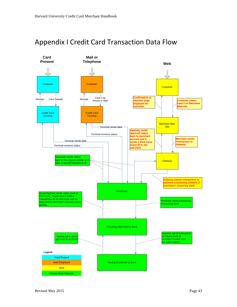

## <span id="page-42-0"></span>Appendix I Credit Card Transaction Data Flow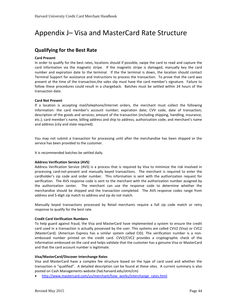# <span id="page-43-0"></span>Appendix J– Visa and MasterCard Rate Structure

## <span id="page-43-1"></span>**Qualifying for the Best Rate**

#### **Card Present**

In order to qualify for the best rates, locations should if possible, swipe the card to read and capture the card information via the magnetic stripe. If the magnetic stripe is damaged, manually key the card number and expiration date to the terminal. If the the terminal is down, the location should contact Terminal Support for assistance and instructions to process the transaction. To prove that the card was present at the time of the transaction,the sales slip must have the card member's signature. Failure to follow these procedures could result in a chargeback. Batches must be settled within 24 hours of the transaction date.

#### **Card Not Present**

If a location is accepting mail/telephone/Internet orders, the merchant must collect the following information: the card member's account number; expiration date; CVV code, date of transaction; description of the goods and services; amount of the transaction (including shipping, handling, insurance, etc.); card member's name, billing address and ship to address; authorization code; and merchant's name and address (city and state required).

You may not submit a transaction for processing until after the merchandise has been shipped or the service has been provided to the customer.

It is recommended batches be settled daily.

#### **Address Verification Service (AVS)**

Address Verification Service (AVS) is a process that is required by Visa to minimize the risk involved in processing card-not-present and manually keyed transactions. The merchant is required to enter the cardholder's zip code and order number. This information is sent with the authorization request for verification. The AVS response code is sent to the merchant with the authorization number assigned by the authorization center. The merchant can use the response code to determine whether the merchandise should be shipped and the transaction completed. The AVS response codes range from address and 5-digit zip match to address and zip do not match.

Manually keyed transactions processed by Retail merchants require a full zip code match or retry response to qualify for the best rate.

#### **Credit Card Verification Numbers**

To help guard against fraud, the Visa and MasterCard have implemented a system to ensure the credit card used in a transaction is actually possessed by the user. This systems are called CVV2 (Visa) or CVC2 (MasterCard). (American Express has a similar system called CID). The verification number is a nonembossed number printed on the credit card. CVV2/CVC2 provides a cryptographic check of the information embossed on the card and helps validate that the customer has a genuine Visa or MasterCard and that the card account number is legitimate.

#### **Visa/MasterCard/Discover Interchange Rates**

Visa and MasterCard have a complex fee structure based on the type of card used and whether the transaction is "qualified". A detailed description can be found at these sites. A current summary is also posted on Cash Managements website (fad.harvard.edu/otm/cm)

• [http://www.mastercard.com/us/merchant/how\\_works/interchange\\_rates.html](http://www.mastercard.com/us/merchant/how_works/interchange_rates.html)